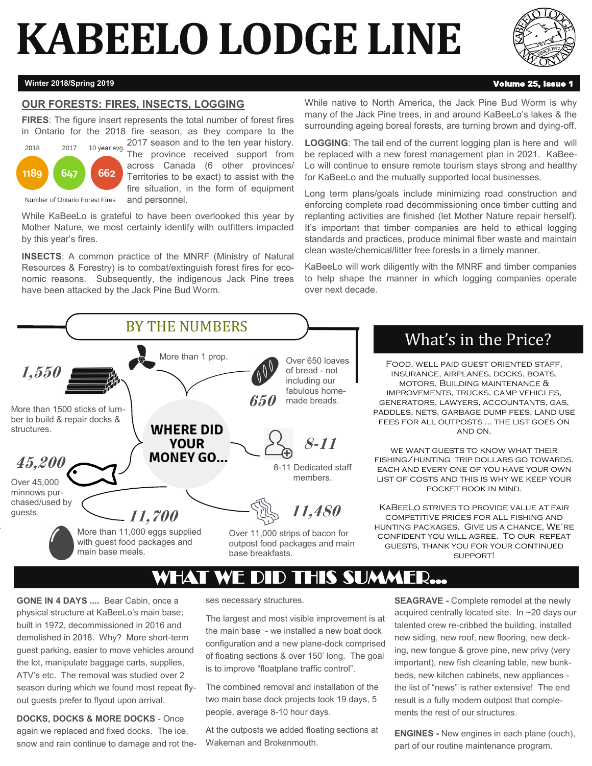# **KABEELO LODGE LINE**



#### **Winter 2018/Spring 2019 Volume 25, Issue 1**

#### **OUR FORESTS: FIRES, INSECTS, LOGGING**

**FIRES**: The figure insert represents the total number of forest fires in Ontario for the 2018 fire season, as they compare to the 2017 season and to the ten year history.



The province received support from across Canada (6 other provinces/ Territories to be exact) to assist with the fire situation, in the form of equipment and personnel.

Number of Ontario Forest Fires

While KaBeeLo is grateful to have been overlooked this year by Mother Nature, we most certainly identify with outfitters impacted by this year's fires.

**INSECTS**: A common practice of the MNRF (Ministry of Natural Resources & Forestry) is to combat/extinguish forest fires for economic reasons. Subsequently, the indigenous Jack Pine trees have been attacked by the Jack Pine Bud Worm.

While native to North America, the Jack Pine Bud Worm is why many of the Jack Pine trees, in and around KaBeeLo's lakes & the surrounding ageing boreal forests, are turning brown and dying-off.

**LOGGING**: The tail end of the current logging plan is here and will be replaced with a new forest management plan in 2021. KaBee-Lo will continue to ensure remote tourism stays strong and healthy for KaBeeLo and the mutually supported local businesses.

Long term plans/goals include minimizing road construction and enforcing complete road decommissioning once timber cutting and replanting activities are finished (let Mother Nature repair herself). It's important that timber companies are held to ethical logging standards and practices, produce minimal fiber waste and maintain clean waste/chemical/litter free forests in a timely manner.

KaBeeLo will work diligently with the MNRF and timber companies to help shape the manner in which logging companies operate over next decade.



### What's in the Price?

Food, well paid guest oriented staff, insurance, airplanes, docks, boats, motors, Building maintenance & improvements, trucks, camp vehicles, generators, lawyers, accountants, gas, paddles, nets, garbage dump fees, land use fees for all outposts ... the list goes on and on.

we want guests to know what their fishing/hunting trip dollars go towards. each and every one of you have your own LIST OF COSTS AND THIS IS WHY WE KEEP YOUR pocket book in mind.

KaBeeLo strives to provide value at fair competitive prices for all fishing and hunting packages. Give us a chance, We're confident you will agree. To our repeat guests, thank you for your continued support!

## WHAT WE DID THIS SUMMER...

**GONE IN 4 DAYS ....** Bear Cabin, once a physical structure at KaBeeLo's main base; built in 1972, decommissioned in 2016 and demolished in 2018. Why? More short-term guest parking, easier to move vehicles around the lot, manipulate baggage carts, supplies, ATV's etc. The removal was studied over 2 season during which we found most repeat flyout guests prefer to flyout upon arrival.

**DOCKS, DOCKS & MORE DOCKS** - Once again we replaced and fixed docks. The ice, snow and rain continue to damage and rot theses necessary structures.

The largest and most visible improvement is at the main base - we installed a new boat dock configuration and a new plane-dock comprised of floating sections & over 150' long. The goal is to improve "floatplane traffic control".

The combined removal and installation of the two main base dock projects took 19 days, 5 people, average 8-10 hour days.

At the outposts we added floating sections at Wakeman and Brokenmouth.

**SEAGRAVE -** Complete remodel at the newly acquired centrally located site. In ~20 days our talented crew re-cribbed the building, installed new siding, new roof, new flooring, new decking, new tongue & grove pine, new privy (very important), new fish cleaning table, new bunkbeds, new kitchen cabinets, new appliances the list of "news" is rather extensive! The end result is a fully modern outpost that complements the rest of our structures.

**ENGINES -** New engines in each plane (ouch), part of our routine maintenance program.